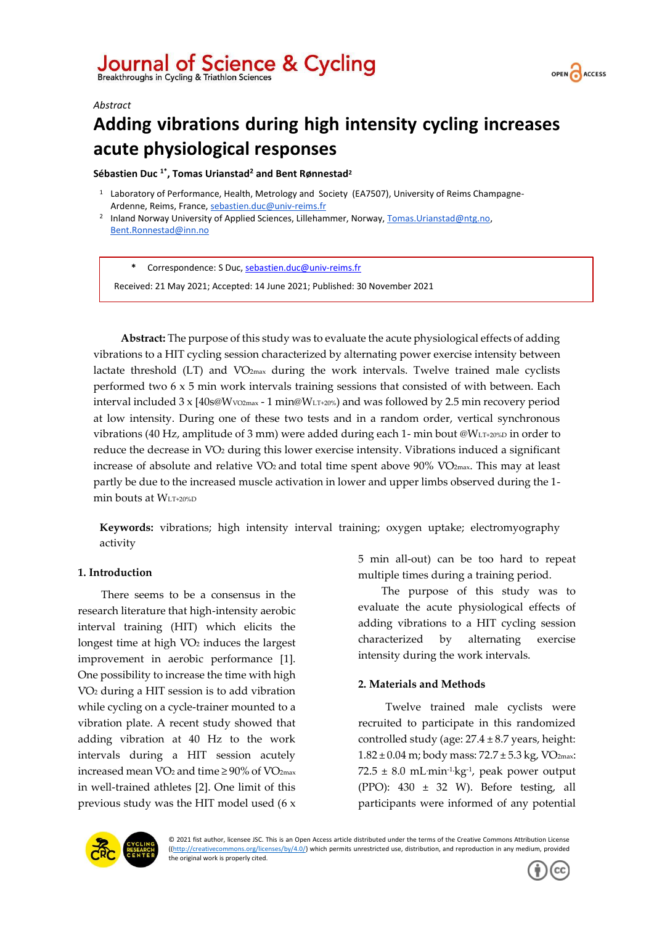



#### *Abstract*

# **Adding vibrations during high intensity cycling increases acute physiological responses**

**Sébastien Duc 1\* , Tomas Urianstad<sup>2</sup> and Bent Rønnestad<sup>2</sup>**

- <sup>1</sup> Laboratory of Performance, Health, Metrology and Society (EA7507), University of Reims Champagne-Ardenne, Reims, France[, sebastien.duc@univ-reims.fr](mailto:sebastien.duc@univ-reims.fr)
- <sup>2</sup> Inland Norway University of Applied Sciences, Lillehammer, Norway[, Tomas.Urianstad@ntg.no,](mailto:Tomas.Urianstad@ntg.no) [Bent.Ronnestad@inn.no](mailto:Bent.Ronnestad@inn.no)

**\*** Correspondence: S Duc, [sebastien.duc@univ-reims.fr](mailto:sebastien.duc@univ-reims.fr)

Received: 21 May 2021; Accepted: 14 June 2021; Published: 30 November 2021

**Abstract:** The purpose of this study was to evaluate the acute physiological effects of adding vibrations to a HIT cycling session characterized by alternating power exercise intensity between lactate threshold  $(LT)$  and  $VO_{2max}$  during the work intervals. Twelve trained male cyclists performed two 6 x 5 min work intervals training sessions that consisted of with between. Each interval included  $3 \times 140s\omega Wv_0$ <sub>2max</sub> - 1 min $\omega W_{LT+20\%}$  and was followed by 2.5 min recovery period at low intensity. During one of these two tests and in a random order, vertical synchronous vibrations (40 Hz, amplitude of 3 mm) were added during each 1- min bout @WLT+20%D in order to reduce the decrease in VO<sub>2</sub> during this lower exercise intensity. Vibrations induced a significant increase of absolute and relative V̇O<sup>2</sup> and total time spent above 90% V̇O2max. This may at least partly be due to the increased muscle activation in lower and upper limbs observed during the 1 min bouts at WLT+20%D

**Keywords:** vibrations; high intensity interval training; oxygen uptake; electromyography activity

## **1. Introduction**

There seems to be a consensus in the research literature that high-intensity aerobic interval training (HIT) which elicits the longest time at high VO<sub>2</sub> induces the largest improvement in aerobic performance [1]. One possibility to increase the time with high V̇O<sup>2</sup> during a HIT session is to add vibration while cycling on a cycle-trainer mounted to a vibration plate. A recent study showed that adding vibration at 40 Hz to the work intervals during a HIT session acutely increased mean V̇O<sup>2</sup> and time ≥ 90% of V̇O2max in well-trained athletes [2]. One limit of this previous study was the HIT model used (6 x 5 min all-out) can be too hard to repeat multiple times during a training period.

The purpose of this study was to evaluate the acute physiological effects of adding vibrations to a HIT cycling session characterized by alternating exercise intensity during the work intervals.

# **2. Materials and Methods**

Twelve trained male cyclists were recruited to participate in this randomized controlled study (age:  $27.4 \pm 8.7$  years, height:  $1.82 \pm 0.04$  m; body mass:  $72.7 \pm 5.3$  kg, VO<sub>2max</sub>: 72.5 ± 8.0 mL**.**min-1**.**kg-1 , peak power output (PPO):  $430 \pm 32$  W). Before testing, all participants were informed of any potential



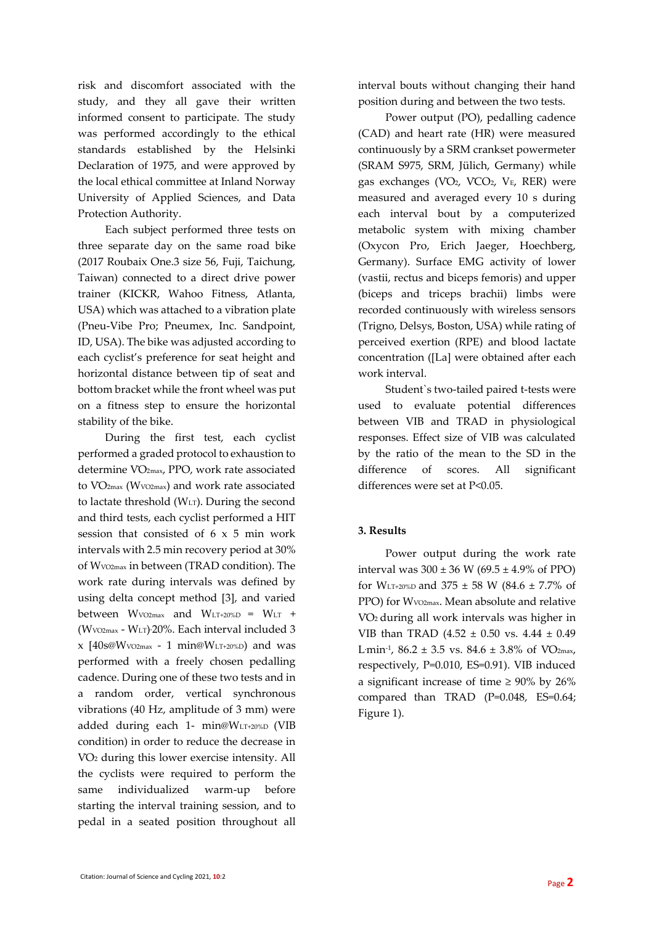risk and discomfort associated with the study, and they all gave their written informed consent to participate. The study was performed accordingly to the ethical standards established by the Helsinki Declaration of 1975, and were approved by the local ethical committee at Inland Norway University of Applied Sciences, and Data Protection Authority.

Each subject performed three tests on three separate day on the same road bike (2017 Roubaix One.3 size 56, Fuji, Taichung, Taiwan) connected to a direct drive power trainer (KICKR, Wahoo Fitness, Atlanta, USA) which was attached to a vibration plate (Pneu-Vibe Pro; Pneumex, Inc. Sandpoint, ID, USA). The bike was adjusted according to each cyclist's preference for seat height and horizontal distance between tip of seat and bottom bracket while the front wheel was put on a fitness step to ensure the horizontal stability of the bike.

During the first test, each cyclist performed a graded protocol to exhaustion to determine V̇O2max, PPO, work rate associated to V̇O2max (WV̇O2max) and work rate associated to lactate threshold (WLT). During the second and third tests, each cyclist performed a HIT session that consisted of 6 x 5 min work intervals with 2.5 min recovery period at 30% of WV̇O2max in between (TRAD condition). The work rate during intervals was defined by using delta concept method [3], and varied between  $Wv_0$ <sub>2max</sub> and  $W_{LT+20\%D}$  =  $W_{LT}$  + (WV̇O2max - WLT) **.**20%. Each interval included 3  $x$  [40s@Wvo2max - 1 min@WLT+20%D) and was performed with a freely chosen pedalling cadence. During one of these two tests and in a random order, vertical synchronous vibrations (40 Hz, amplitude of 3 mm) were added during each 1- min@WLT+20%D (VIB condition) in order to reduce the decrease in V̇O<sup>2</sup> during this lower exercise intensity. All the cyclists were required to perform the same individualized warm-up before starting the interval training session, and to pedal in a seated position throughout all

interval bouts without changing their hand position during and between the two tests.

Power output (PO), pedalling cadence (CAD) and heart rate (HR) were measured continuously by a SRM crankset powermeter (SRAM S975, SRM, Jülich, Germany) while gas exchanges (V̇O2, V̇CO2, VE, RER) were measured and averaged every 10 s during each interval bout by a computerized metabolic system with mixing chamber (Oxycon Pro, Erich Jaeger, Hoechberg, Germany). Surface EMG activity of lower (vastii, rectus and biceps femoris) and upper (biceps and triceps brachii) limbs were recorded continuously with wireless sensors (Trigno, Delsys, Boston, USA) while rating of perceived exertion (RPE) and blood lactate concentration ([La] were obtained after each work interval.

Student`s two-tailed paired t-tests were used to evaluate potential differences between VIB and TRAD in physiological responses. Effect size of VIB was calculated by the ratio of the mean to the SD in the difference of scores. All significant differences were set at P<0.05.

# **3. Results**

Power output during the work rate interval was  $300 \pm 36$  W (69.5  $\pm$  4.9% of PPO) for W<sub>LT+20%D</sub> and 375  $\pm$  58 W (84.6  $\pm$  7.7% of PPO) for Wvo2max. Mean absolute and relative V̇O2 during all work intervals was higher in VIB than TRAD (4.52  $\pm$  0.50 vs. 4.44  $\pm$  0.49 L·min<sup>-1</sup>, 86.2 ± 3.5 vs. 84.6 ± 3.8% of VO<sub>2max</sub>, respectively, P=0.010, ES=0.91). VIB induced a significant increase of time  $\geq 90\%$  by 26% compared than TRAD (P=0.048, ES=0.64; Figure 1).